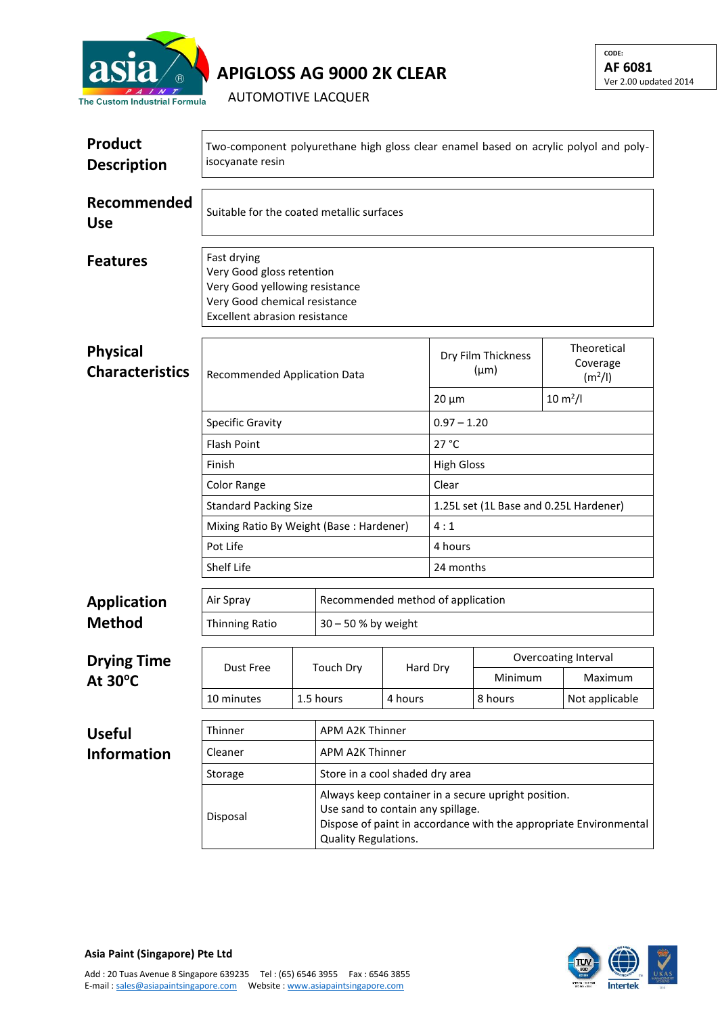

**APIGLOSS AG 9000 2K CLEAR**

AUTOMOTIVE LACQUER

| <b>Product</b><br><b>Description</b>      | Two-component polyurethane high gloss clear enamel based on acrylic polyol and poly-<br>isocyanate resin                                     |  |                                                                                                                                                                                       |               |                                   |         |  |                                                |  |
|-------------------------------------------|----------------------------------------------------------------------------------------------------------------------------------------------|--|---------------------------------------------------------------------------------------------------------------------------------------------------------------------------------------|---------------|-----------------------------------|---------|--|------------------------------------------------|--|
| Recommended<br><b>Use</b>                 | Suitable for the coated metallic surfaces                                                                                                    |  |                                                                                                                                                                                       |               |                                   |         |  |                                                |  |
| <b>Features</b>                           | Fast drying<br>Very Good gloss retention<br>Very Good yellowing resistance<br>Very Good chemical resistance<br>Excellent abrasion resistance |  |                                                                                                                                                                                       |               |                                   |         |  |                                                |  |
| <b>Physical</b><br><b>Characteristics</b> | Recommended Application Data                                                                                                                 |  |                                                                                                                                                                                       |               | Dry Film Thickness<br>$(\mu m)$   |         |  | Theoretical<br>Coverage<br>(m <sup>2</sup> /I) |  |
|                                           |                                                                                                                                              |  |                                                                                                                                                                                       |               | $20 \mu m$                        |         |  | $10 \, \text{m}^2$ /l                          |  |
|                                           | <b>Specific Gravity</b>                                                                                                                      |  |                                                                                                                                                                                       | $0.97 - 1.20$ |                                   |         |  |                                                |  |
|                                           | <b>Flash Point</b>                                                                                                                           |  |                                                                                                                                                                                       |               | 27 °C                             |         |  |                                                |  |
|                                           | Finish                                                                                                                                       |  | <b>High Gloss</b>                                                                                                                                                                     |               |                                   |         |  |                                                |  |
|                                           | Color Range                                                                                                                                  |  | Clear                                                                                                                                                                                 |               |                                   |         |  |                                                |  |
|                                           | <b>Standard Packing Size</b>                                                                                                                 |  | 1.25L set (1L Base and 0.25L Hardener)<br>4:1                                                                                                                                         |               |                                   |         |  |                                                |  |
|                                           | Mixing Ratio By Weight (Base: Hardener)                                                                                                      |  | 4 hours                                                                                                                                                                               |               |                                   |         |  |                                                |  |
|                                           | Pot Life<br>Shelf Life                                                                                                                       |  |                                                                                                                                                                                       |               | 24 months                         |         |  |                                                |  |
|                                           |                                                                                                                                              |  |                                                                                                                                                                                       |               |                                   |         |  |                                                |  |
| <b>Application</b>                        | Air Spray                                                                                                                                    |  |                                                                                                                                                                                       |               | Recommended method of application |         |  |                                                |  |
| <b>Method</b>                             | Thinning Ratio                                                                                                                               |  | 30 - 50 % by weight                                                                                                                                                                   |               |                                   |         |  |                                                |  |
|                                           |                                                                                                                                              |  |                                                                                                                                                                                       |               |                                   |         |  | <b>Overcoating Interval</b>                    |  |
| <b>Drying Time</b><br>At 30°C             | <b>Dust Free</b>                                                                                                                             |  | <b>Touch Dry</b>                                                                                                                                                                      |               | Hard Dry                          | Minimum |  | Maximum                                        |  |
|                                           | 10 minutes<br>1.5 hours                                                                                                                      |  |                                                                                                                                                                                       | 4 hours       |                                   | 8 hours |  | Not applicable                                 |  |
|                                           |                                                                                                                                              |  |                                                                                                                                                                                       |               |                                   |         |  |                                                |  |
| <b>Useful</b>                             | Thinner<br>APM A2K Thinner                                                                                                                   |  |                                                                                                                                                                                       |               |                                   |         |  |                                                |  |
| <b>Information</b>                        | <b>APM A2K Thinner</b><br>Cleaner                                                                                                            |  |                                                                                                                                                                                       |               |                                   |         |  |                                                |  |
|                                           | Store in a cool shaded dry area<br>Storage                                                                                                   |  |                                                                                                                                                                                       |               |                                   |         |  |                                                |  |
|                                           | Disposal                                                                                                                                     |  | Always keep container in a secure upright position.<br>Use sand to contain any spillage.<br>Dispose of paint in accordance with the appropriate Environmental<br>Quality Regulations. |               |                                   |         |  |                                                |  |